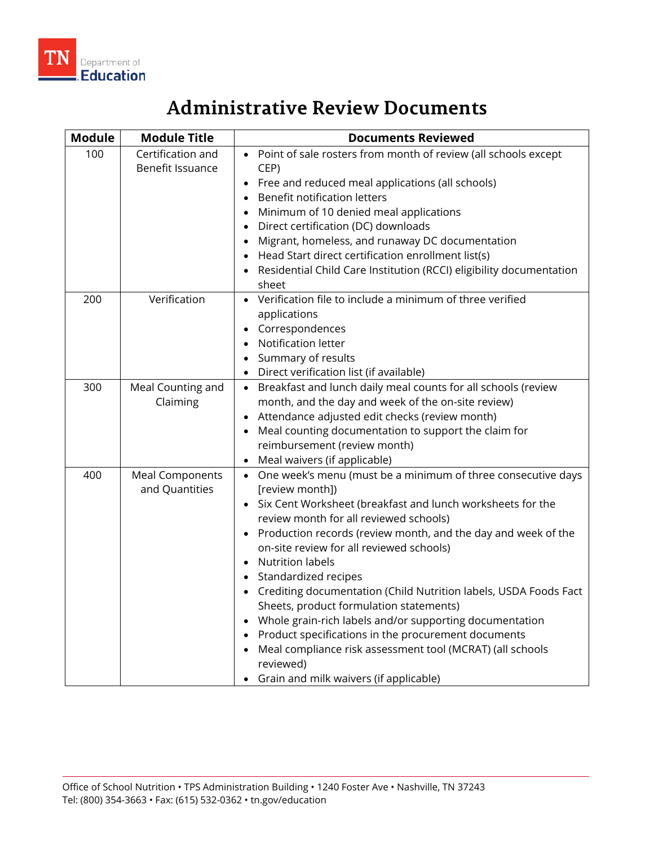

## **Administrative Review Documents**

| <b>Module</b> | <b>Module Title</b>                      | <b>Documents Reviewed</b>                                                                                                                                                                                                                                                                                                                                                                                                                                                                                                                                                                                                                                                                                              |
|---------------|------------------------------------------|------------------------------------------------------------------------------------------------------------------------------------------------------------------------------------------------------------------------------------------------------------------------------------------------------------------------------------------------------------------------------------------------------------------------------------------------------------------------------------------------------------------------------------------------------------------------------------------------------------------------------------------------------------------------------------------------------------------------|
| 100           | Certification and<br>Benefit Issuance    | Point of sale rosters from month of review (all schools except<br>CEP)<br>Free and reduced meal applications (all schools)<br><b>Benefit notification letters</b><br>Minimum of 10 denied meal applications<br>Direct certification (DC) downloads<br>Migrant, homeless, and runaway DC documentation<br>Head Start direct certification enrollment list(s)<br>Residential Child Care Institution (RCCI) eligibility documentation<br>sheet                                                                                                                                                                                                                                                                            |
| 200           | Verification                             | Verification file to include a minimum of three verified<br>applications<br>• Correspondences<br>• Notification letter<br>Summary of results<br>$\bullet$<br>Direct verification list (if available)                                                                                                                                                                                                                                                                                                                                                                                                                                                                                                                   |
| 300           | Meal Counting and<br>Claiming            | Breakfast and lunch daily meal counts for all schools (review<br>$\bullet$<br>month, and the day and week of the on-site review)<br>Attendance adjusted edit checks (review month)<br>Meal counting documentation to support the claim for<br>reimbursement (review month)<br>• Meal waivers (if applicable)                                                                                                                                                                                                                                                                                                                                                                                                           |
| 400           | <b>Meal Components</b><br>and Quantities | • One week's menu (must be a minimum of three consecutive days<br>[review month])<br>• Six Cent Worksheet (breakfast and lunch worksheets for the<br>review month for all reviewed schools)<br>• Production records (review month, and the day and week of the<br>on-site review for all reviewed schools)<br><b>Nutrition labels</b><br>Standardized recipes<br>• Crediting documentation (Child Nutrition labels, USDA Foods Fact<br>Sheets, product formulation statements)<br>• Whole grain-rich labels and/or supporting documentation<br>Product specifications in the procurement documents<br>Meal compliance risk assessment tool (MCRAT) (all schools<br>reviewed)<br>Grain and milk waivers (if applicable) |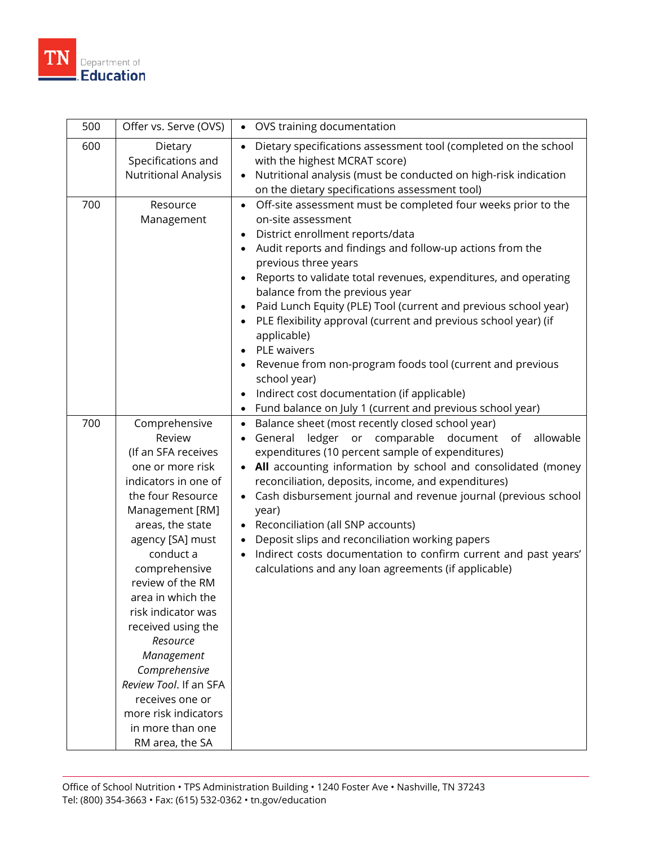

| 500 | Offer vs. Serve (OVS)                                                                                                                                                                                                                                                                                                                                                                                                                                | OVS training documentation                                                                                                                                                                                                                                                                                                                                                                                                                                                                                                                                                                                                                                                                                                                                                                          |
|-----|------------------------------------------------------------------------------------------------------------------------------------------------------------------------------------------------------------------------------------------------------------------------------------------------------------------------------------------------------------------------------------------------------------------------------------------------------|-----------------------------------------------------------------------------------------------------------------------------------------------------------------------------------------------------------------------------------------------------------------------------------------------------------------------------------------------------------------------------------------------------------------------------------------------------------------------------------------------------------------------------------------------------------------------------------------------------------------------------------------------------------------------------------------------------------------------------------------------------------------------------------------------------|
| 600 | Dietary<br>Specifications and<br><b>Nutritional Analysis</b>                                                                                                                                                                                                                                                                                                                                                                                         | Dietary specifications assessment tool (completed on the school<br>$\bullet$<br>with the highest MCRAT score)<br>Nutritional analysis (must be conducted on high-risk indication<br>$\bullet$<br>on the dietary specifications assessment tool)                                                                                                                                                                                                                                                                                                                                                                                                                                                                                                                                                     |
| 700 | Resource<br>Management                                                                                                                                                                                                                                                                                                                                                                                                                               | Off-site assessment must be completed four weeks prior to the<br>$\bullet$<br>on-site assessment<br>District enrollment reports/data<br>$\bullet$<br>Audit reports and findings and follow-up actions from the<br>$\bullet$<br>previous three years<br>Reports to validate total revenues, expenditures, and operating<br>$\bullet$<br>balance from the previous year<br>Paid Lunch Equity (PLE) Tool (current and previous school year)<br>$\bullet$<br>PLE flexibility approval (current and previous school year) (if<br>$\bullet$<br>applicable)<br>PLE waivers<br>$\bullet$<br>Revenue from non-program foods tool (current and previous<br>school year)<br>Indirect cost documentation (if applicable)<br>$\bullet$<br>Fund balance on July 1 (current and previous school year)<br>$\bullet$ |
| 700 | Comprehensive<br>Review<br>(If an SFA receives<br>one or more risk<br>indicators in one of<br>the four Resource<br>Management [RM]<br>areas, the state<br>agency [SA] must<br>conduct a<br>comprehensive<br>review of the RM<br>area in which the<br>risk indicator was<br>received using the<br>Resource<br>Management<br>Comprehensive<br>Review Tool. If an SFA<br>receives one or<br>more risk indicators<br>in more than one<br>RM area, the SA | Balance sheet (most recently closed school year)<br>$\bullet$<br>ledger<br>comparable<br>allowable<br>General<br>or<br>document<br>of<br>expenditures (10 percent sample of expenditures)<br>All accounting information by school and consolidated (money<br>$\bullet$<br>reconciliation, deposits, income, and expenditures)<br>Cash disbursement journal and revenue journal (previous school<br>$\bullet$<br>year)<br>Reconciliation (all SNP accounts)<br>$\bullet$<br>Deposit slips and reconciliation working papers<br>Indirect costs documentation to confirm current and past years'<br>$\bullet$<br>calculations and any loan agreements (if applicable)                                                                                                                                  |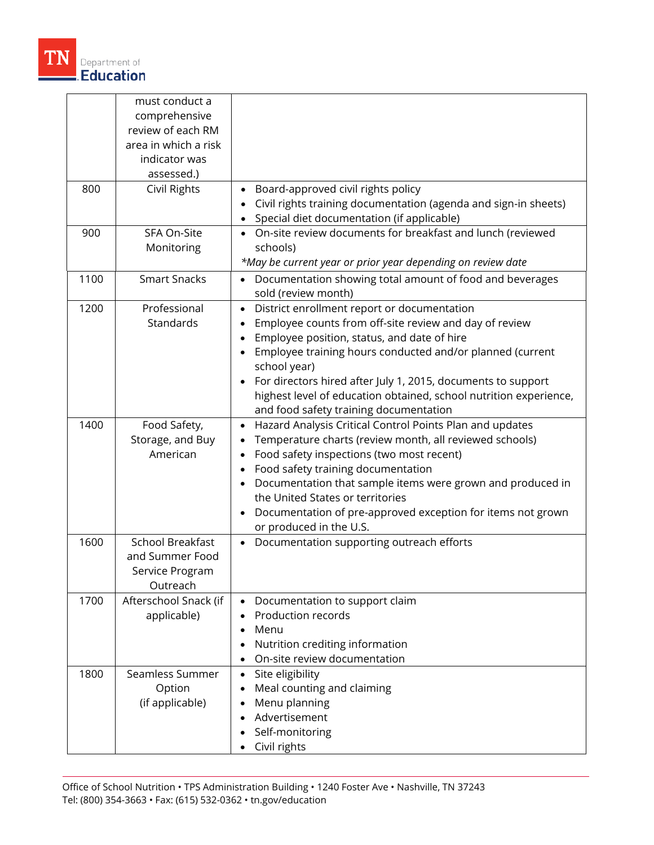

| 800  | must conduct a<br>comprehensive<br>review of each RM<br>area in which a risk<br>indicator was<br>assessed.)<br>Civil Rights | Board-approved civil rights policy                                                                                                                                                                                                                                                                                                                                                                                            |
|------|-----------------------------------------------------------------------------------------------------------------------------|-------------------------------------------------------------------------------------------------------------------------------------------------------------------------------------------------------------------------------------------------------------------------------------------------------------------------------------------------------------------------------------------------------------------------------|
|      |                                                                                                                             | Civil rights training documentation (agenda and sign-in sheets)<br>Special diet documentation (if applicable)                                                                                                                                                                                                                                                                                                                 |
| 900  | SFA On-Site<br>Monitoring                                                                                                   | On-site review documents for breakfast and lunch (reviewed<br>schools)<br>*May be current year or prior year depending on review date                                                                                                                                                                                                                                                                                         |
| 1100 | <b>Smart Snacks</b>                                                                                                         | Documentation showing total amount of food and beverages<br>sold (review month)                                                                                                                                                                                                                                                                                                                                               |
| 1200 | Professional<br>Standards                                                                                                   | District enrollment report or documentation<br>$\bullet$<br>Employee counts from off-site review and day of review<br>Employee position, status, and date of hire<br>Employee training hours conducted and/or planned (current<br>school year)<br>For directors hired after July 1, 2015, documents to support<br>highest level of education obtained, school nutrition experience,<br>and food safety training documentation |
| 1400 | Food Safety,<br>Storage, and Buy<br>American                                                                                | Hazard Analysis Critical Control Points Plan and updates<br>Temperature charts (review month, all reviewed schools)<br>Food safety inspections (two most recent)<br>Food safety training documentation<br>Documentation that sample items were grown and produced in<br>the United States or territories<br>Documentation of pre-approved exception for items not grown<br>$\bullet$<br>or produced in the U.S.               |
| 1600 | School Breakfast<br>and Summer Food<br>Service Program<br>Outreach                                                          | Documentation supporting outreach efforts<br>$\bullet$                                                                                                                                                                                                                                                                                                                                                                        |
| 1700 | Afterschool Snack (if<br>applicable)                                                                                        | Documentation to support claim<br>$\bullet$<br>Production records<br>Menu<br>Nutrition crediting information<br>On-site review documentation                                                                                                                                                                                                                                                                                  |
| 1800 | Seamless Summer<br>Option<br>(if applicable)                                                                                | Site eligibility<br>$\bullet$<br>Meal counting and claiming<br>Menu planning<br>Advertisement<br>Self-monitoring<br>Civil rights                                                                                                                                                                                                                                                                                              |